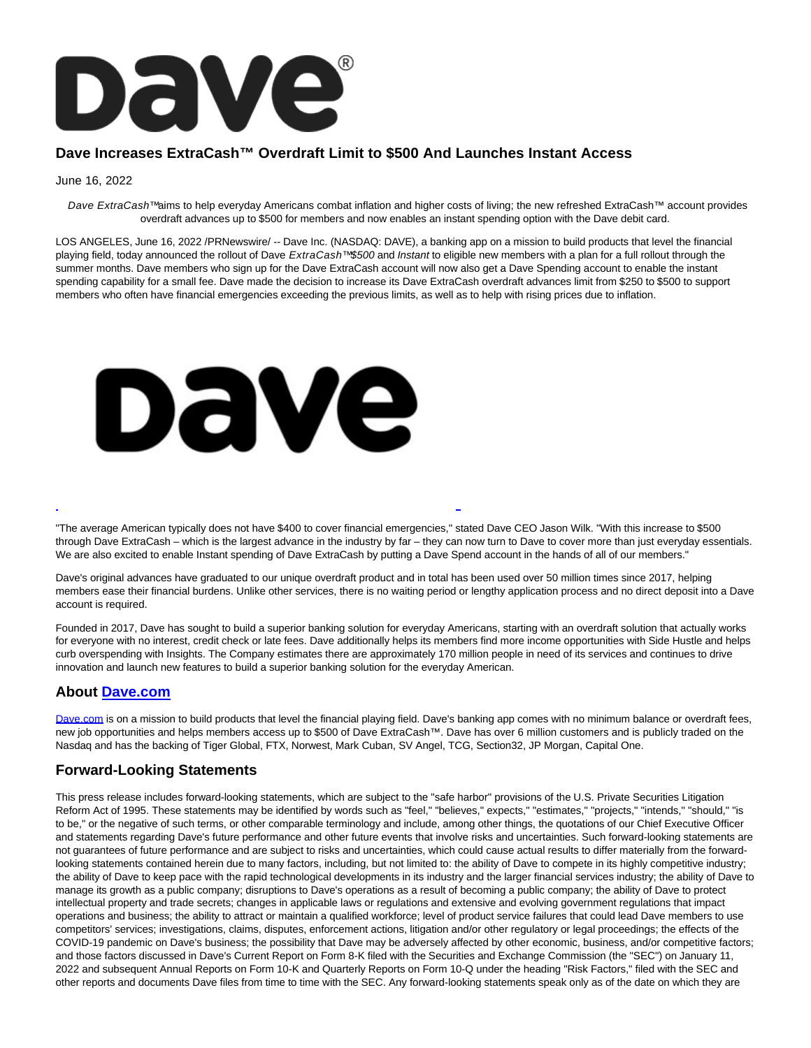

## **Dave Increases ExtraCash™ Overdraft Limit to \$500 And Launches Instant Access**

June 16, 2022

Dave ExtraCash™ aims to help everyday Americans combat inflation and higher costs of living; the new refreshed ExtraCash™ account provides overdraft advances up to \$500 for members and now enables an instant spending option with the Dave debit card.

LOS ANGELES, June 16, 2022 /PRNewswire/ -- Dave Inc. (NASDAQ: DAVE), a banking app on a mission to build products that level the financial playing field, today announced the rollout of Dave ExtraCash™\$500 and Instant to eligible new members with a plan for a full rollout through the summer months. Dave members who sign up for the Dave ExtraCash account will now also get a Dave Spending account to enable the instant spending capability for a small fee. Dave made the decision to increase its Dave ExtraCash overdraft advances limit from \$250 to \$500 to support members who often have financial emergencies exceeding the previous limits, as well as to help with rising prices due to inflation.



"The average American typically does not have \$400 to cover financial emergencies," stated Dave CEO Jason Wilk. "With this increase to \$500 through Dave ExtraCash – which is the largest advance in the industry by far – they can now turn to Dave to cover more than just everyday essentials. We are also excited to enable Instant spending of Dave ExtraCash by putting a Dave Spend account in the hands of all of our members."

 $\overline{a}$ 

Dave's original advances have graduated to our unique overdraft product and in total has been used over 50 million times since 2017, helping members ease their financial burdens. Unlike other services, there is no waiting period or lengthy application process and no direct deposit into a Dave account is required.

Founded in 2017, Dave has sought to build a superior banking solution for everyday Americans, starting with an overdraft solution that actually works for everyone with no interest, credit check or late fees. Dave additionally helps its members find more income opportunities with Side Hustle and helps curb overspending with Insights. The Company estimates there are approximately 170 million people in need of its services and continues to drive innovation and launch new features to build a superior banking solution for the everyday American.

## **About [Dave.com](http://dave.com/)**

[Dave.com i](http://dave.com/)s on a mission to build products that level the financial playing field. Dave's banking app comes with no minimum balance or overdraft fees, new job opportunities and helps members access up to \$500 of Dave ExtraCash™. Dave has over 6 million customers and is publicly traded on the Nasdaq and has the backing of Tiger Global, FTX, Norwest, Mark Cuban, SV Angel, TCG, Section32, JP Morgan, Capital One.

## **Forward-Looking Statements**

This press release includes forward-looking statements, which are subject to the "safe harbor" provisions of the U.S. Private Securities Litigation Reform Act of 1995. These statements may be identified by words such as "feel," "believes," expects," "estimates," "projects," "intends," "should," "is to be," or the negative of such terms, or other comparable terminology and include, among other things, the quotations of our Chief Executive Officer and statements regarding Dave's future performance and other future events that involve risks and uncertainties. Such forward-looking statements are not guarantees of future performance and are subject to risks and uncertainties, which could cause actual results to differ materially from the forwardlooking statements contained herein due to many factors, including, but not limited to: the ability of Dave to compete in its highly competitive industry; the ability of Dave to keep pace with the rapid technological developments in its industry and the larger financial services industry; the ability of Dave to manage its growth as a public company; disruptions to Dave's operations as a result of becoming a public company; the ability of Dave to protect intellectual property and trade secrets; changes in applicable laws or regulations and extensive and evolving government regulations that impact operations and business; the ability to attract or maintain a qualified workforce; level of product service failures that could lead Dave members to use competitors' services; investigations, claims, disputes, enforcement actions, litigation and/or other regulatory or legal proceedings; the effects of the COVID-19 pandemic on Dave's business; the possibility that Dave may be adversely affected by other economic, business, and/or competitive factors; and those factors discussed in Dave's Current Report on Form 8-K filed with the Securities and Exchange Commission (the "SEC") on January 11, 2022 and subsequent Annual Reports on Form 10-K and Quarterly Reports on Form 10-Q under the heading "Risk Factors," filed with the SEC and other reports and documents Dave files from time to time with the SEC. Any forward-looking statements speak only as of the date on which they are